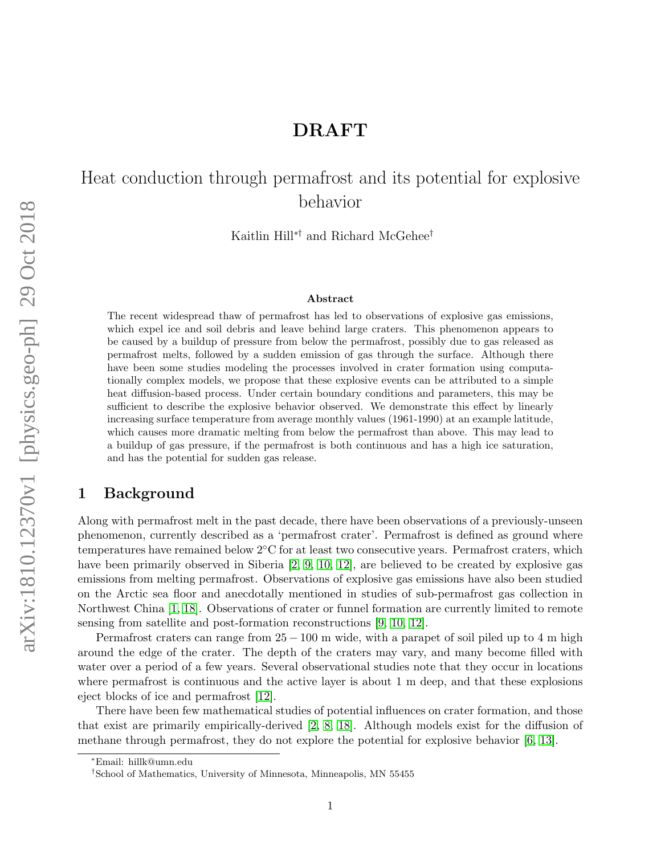## DRAFT

# Heat conduction through permafrost and its potential for explosive behavior

Kaitlin Hill∗† and Richard McGehee†

#### Abstract

The recent widespread thaw of permafrost has led to observations of explosive gas emissions, which expel ice and soil debris and leave behind large craters. This phenomenon appears to be caused by a buildup of pressure from below the permafrost, possibly due to gas released as permafrost melts, followed by a sudden emission of gas through the surface. Although there have been some studies modeling the processes involved in crater formation using computationally complex models, we propose that these explosive events can be attributed to a simple heat diffusion-based process. Under certain boundary conditions and parameters, this may be sufficient to describe the explosive behavior observed. We demonstrate this effect by linearly increasing surface temperature from average monthly values (1961-1990) at an example latitude, which causes more dramatic melting from below the permafrost than above. This may lead to a buildup of gas pressure, if the permafrost is both continuous and has a high ice saturation, and has the potential for sudden gas release.

#### 1 Background

Along with permafrost melt in the past decade, there have been observations of a previously-unseen phenomenon, currently described as a 'permafrost crater'. Permafrost is defined as ground where temperatures have remained below 2◦C for at least two consecutive years. Permafrost craters, which have been primarily observed in Siberia [\[2,](#page-3-0) [9,](#page-3-1) [10,](#page-3-2) [12\]](#page-4-0), are believed to be created by explosive gas emissions from melting permafrost. Observations of explosive gas emissions have also been studied on the Arctic sea floor and anecdotally mentioned in studies of sub-permafrost gas collection in Northwest China [\[1,](#page-3-3) [18\]](#page-4-1). Observations of crater or funnel formation are currently limited to remote sensing from satellite and post-formation reconstructions [\[9,](#page-3-1) [10,](#page-3-2) [12\]](#page-4-0).

Permafrost craters can range from  $25 - 100$  m wide, with a parapet of soil piled up to 4 m high around the edge of the crater. The depth of the craters may vary, and many become filled with water over a period of a few years. Several observational studies note that they occur in locations where permafrost is continuous and the active layer is about 1 m deep, and that these explosions eject blocks of ice and permafrost [\[12\]](#page-4-0).

There have been few mathematical studies of potential influences on crater formation, and those that exist are primarily empirically-derived [\[2,](#page-3-0) [8,](#page-3-4) [18\]](#page-4-1). Although models exist for the diffusion of methane through permafrost, they do not explore the potential for explosive behavior [\[6,](#page-3-5) [13\]](#page-4-2).

<sup>∗</sup>Email: hillk@umn.edu

<sup>†</sup>School of Mathematics, University of Minnesota, Minneapolis, MN 55455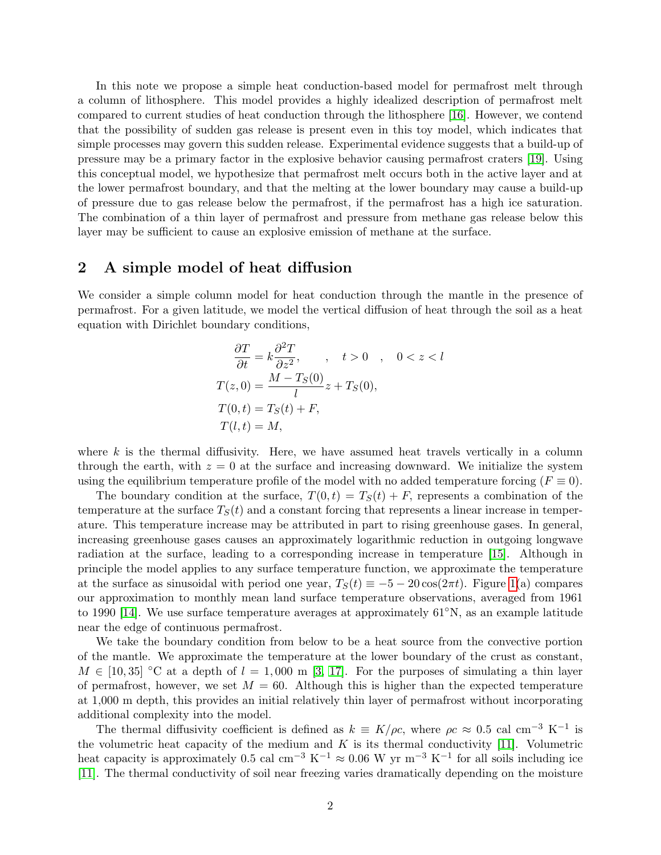In this note we propose a simple heat conduction-based model for permafrost melt through a column of lithosphere. This model provides a highly idealized description of permafrost melt compared to current studies of heat conduction through the lithosphere [\[16\]](#page-4-3). However, we contend that the possibility of sudden gas release is present even in this toy model, which indicates that simple processes may govern this sudden release. Experimental evidence suggests that a build-up of pressure may be a primary factor in the explosive behavior causing permafrost craters [\[19\]](#page-4-4). Using this conceptual model, we hypothesize that permafrost melt occurs both in the active layer and at the lower permafrost boundary, and that the melting at the lower boundary may cause a build-up of pressure due to gas release below the permafrost, if the permafrost has a high ice saturation. The combination of a thin layer of permafrost and pressure from methane gas release below this layer may be sufficient to cause an explosive emission of methane at the surface.

#### 2 A simple model of heat diffusion

We consider a simple column model for heat conduction through the mantle in the presence of permafrost. For a given latitude, we model the vertical diffusion of heat through the soil as a heat equation with Dirichlet boundary conditions,

$$
\frac{\partial T}{\partial t} = k \frac{\partial^2 T}{\partial z^2}, \qquad t > 0 \qquad 0 < z < l
$$
  
\n
$$
T(z, 0) = \frac{M - T_S(0)}{l} z + T_S(0),
$$
  
\n
$$
T(0, t) = T_S(t) + F,
$$
  
\n
$$
T(l, t) = M,
$$

where  $k$  is the thermal diffusivity. Here, we have assumed heat travels vertically in a column through the earth, with  $z = 0$  at the surface and increasing downward. We initialize the system using the equilibrium temperature profile of the model with no added temperature forcing ( $F \equiv 0$ ).

The boundary condition at the surface,  $T(0, t) = T<sub>S</sub>(t) + F$ , represents a combination of the temperature at the surface  $T_S(t)$  and a constant forcing that represents a linear increase in temperature. This temperature increase may be attributed in part to rising greenhouse gases. In general, increasing greenhouse gases causes an approximately logarithmic reduction in outgoing longwave radiation at the surface, leading to a corresponding increase in temperature [\[15\]](#page-4-5). Although in principle the model applies to any surface temperature function, we approximate the temperature at the surface as sinusoidal with period one year,  $T_S(t) \equiv -5 - 20 \cos(2\pi t)$ . Figure [1\(](#page-2-0)a) compares our approximation to monthly mean land surface temperature observations, averaged from 1961 to 1990 [\[14\]](#page-4-6). We use surface temperature averages at approximately 61◦N, as an example latitude near the edge of continuous permafrost.

We take the boundary condition from below to be a heat source from the convective portion of the mantle. We approximate the temperature at the lower boundary of the crust as constant,  $M \in [10, 35]$  °C at a depth of  $l = 1,000 \text{ m } [3, 17]$  $l = 1,000 \text{ m } [3, 17]$  $l = 1,000 \text{ m } [3, 17]$ . For the purposes of simulating a thin layer of permafrost, however, we set  $M = 60$ . Although this is higher than the expected temperature at 1,000 m depth, this provides an initial relatively thin layer of permafrost without incorporating additional complexity into the model.

The thermal diffusivity coefficient is defined as  $k \equiv K/\rho c$ , where  $\rho c \approx 0.5$  cal cm<sup>-3</sup> K<sup>-1</sup> is the volumetric heat capacity of the medium and  $K$  is its thermal conductivity [\[11\]](#page-3-7). Volumetric heat capacity is approximately 0.5 cal cm<sup>-3</sup> K<sup>-1</sup>  $\approx$  0.06 W yr m<sup>-3</sup> K<sup>-1</sup> for all soils including ice [\[11\]](#page-3-7). The thermal conductivity of soil near freezing varies dramatically depending on the moisture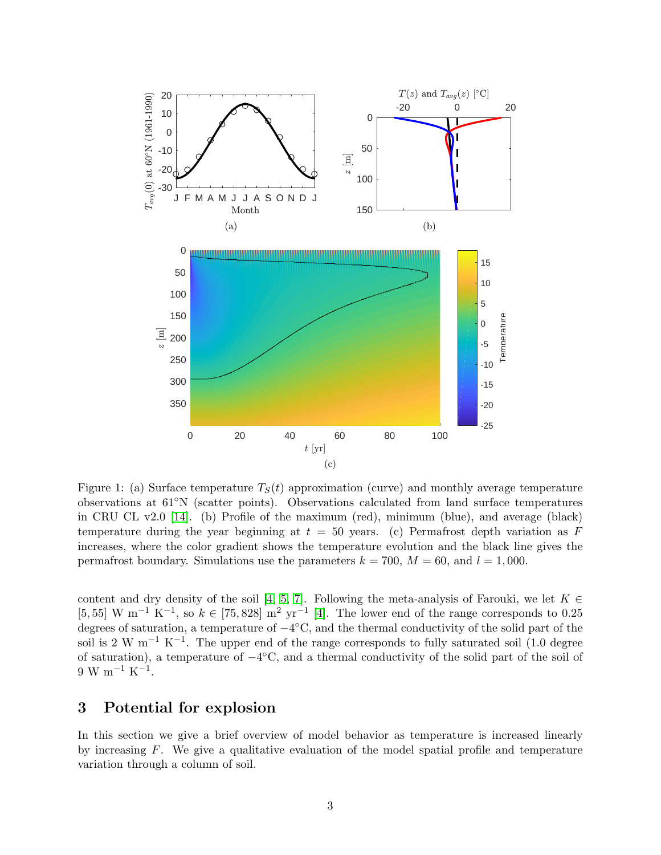<span id="page-2-0"></span>

Figure 1: (a) Surface temperature  $T<sub>S</sub>(t)$  approximation (curve) and monthly average temperature observations at 61◦N (scatter points). Observations calculated from land surface temperatures in CRU CL v2.0 [\[14\]](#page-4-6). (b) Profile of the maximum (red), minimum (blue), and average (black) temperature during the year beginning at  $t = 50$  years. (c) Permafrost depth variation as F increases, where the color gradient shows the temperature evolution and the black line gives the permafrost boundary. Simulations use the parameters  $k = 700$ ,  $M = 60$ , and  $l = 1,000$ .

content and dry density of the soil [\[4,](#page-3-8) [5,](#page-3-9) [7\]](#page-3-10). Following the meta-analysis of Farouki, we let  $K \in$ [5, 55] W m<sup>-1</sup> K<sup>-1</sup>, so  $k \in [75, 828]$  m<sup>2</sup> yr<sup>-1</sup> [\[4\]](#page-3-8). The lower end of the range corresponds to 0.25 degrees of saturation, a temperature of  $-4^{\circ}$ C, and the thermal conductivity of the solid part of the soil is 2 W m<sup>-1</sup> K<sup>-1</sup>. The upper end of the range corresponds to fully saturated soil (1.0 degree of saturation), a temperature of −4 ◦C, and a thermal conductivity of the solid part of the soil of  $9 \text{ W m}^{-1} \text{ K}^{-1}.$ 

### 3 Potential for explosion

In this section we give a brief overview of model behavior as temperature is increased linearly by increasing  $F$ . We give a qualitative evaluation of the model spatial profile and temperature variation through a column of soil.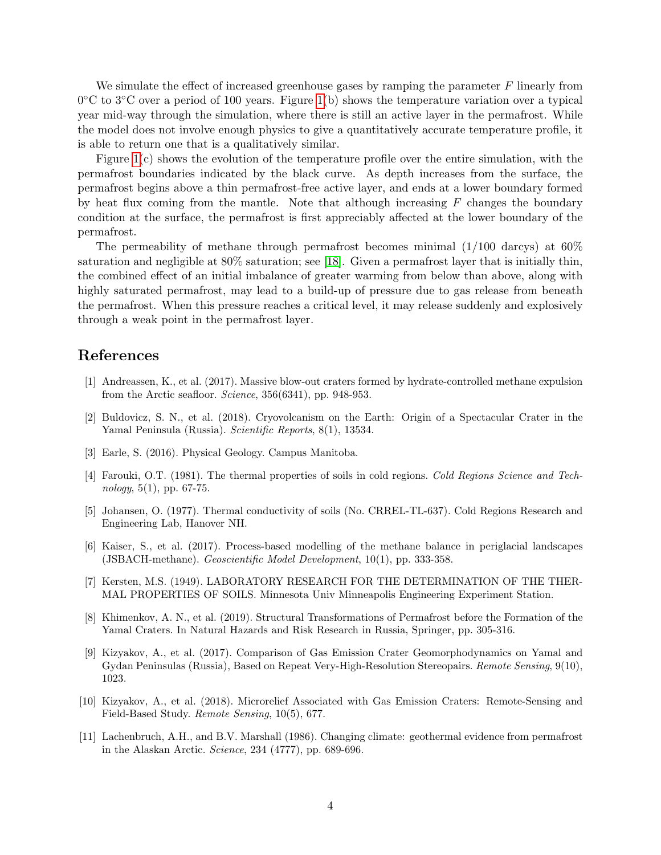We simulate the effect of increased greenhouse gases by ramping the parameter  $F$  linearly from 0 °C to 3 °C over a period of 100 years. Figure [1\(](#page-2-0)b) shows the temperature variation over a typical year mid-way through the simulation, where there is still an active layer in the permafrost. While the model does not involve enough physics to give a quantitatively accurate temperature profile, it is able to return one that is a qualitatively similar.

Figure [1\(](#page-2-0)c) shows the evolution of the temperature profile over the entire simulation, with the permafrost boundaries indicated by the black curve. As depth increases from the surface, the permafrost begins above a thin permafrost-free active layer, and ends at a lower boundary formed by heat flux coming from the mantle. Note that although increasing  $F$  changes the boundary condition at the surface, the permafrost is first appreciably affected at the lower boundary of the permafrost.

The permeability of methane through permafrost becomes minimal  $(1/100 \text{ darcys})$  at  $60\%$ saturation and negligible at 80% saturation; see [\[18\]](#page-4-1). Given a permafrost layer that is initially thin, the combined effect of an initial imbalance of greater warming from below than above, along with highly saturated permafrost, may lead to a build-up of pressure due to gas release from beneath the permafrost. When this pressure reaches a critical level, it may release suddenly and explosively through a weak point in the permafrost layer.

#### References

- <span id="page-3-3"></span>[1] Andreassen, K., et al. (2017). Massive blow-out craters formed by hydrate-controlled methane expulsion from the Arctic seafloor. Science, 356(6341), pp. 948-953.
- <span id="page-3-0"></span>[2] Buldovicz, S. N., et al. (2018). Cryovolcanism on the Earth: Origin of a Spectacular Crater in the Yamal Peninsula (Russia). Scientific Reports, 8(1), 13534.
- <span id="page-3-6"></span>[3] Earle, S. (2016). Physical Geology. Campus Manitoba.
- <span id="page-3-8"></span>[4] Farouki, O.T. (1981). The thermal properties of soils in cold regions. Cold Regions Science and Technology,  $5(1)$ , pp. 67-75.
- <span id="page-3-9"></span>[5] Johansen, O. (1977). Thermal conductivity of soils (No. CRREL-TL-637). Cold Regions Research and Engineering Lab, Hanover NH.
- <span id="page-3-5"></span>[6] Kaiser, S., et al. (2017). Process-based modelling of the methane balance in periglacial landscapes (JSBACH-methane). Geoscientific Model Development, 10(1), pp. 333-358.
- <span id="page-3-10"></span>[7] Kersten, M.S. (1949). LABORATORY RESEARCH FOR THE DETERMINATION OF THE THER-MAL PROPERTIES OF SOILS. Minnesota Univ Minneapolis Engineering Experiment Station.
- <span id="page-3-4"></span>[8] Khimenkov, A. N., et al. (2019). Structural Transformations of Permafrost before the Formation of the Yamal Craters. In Natural Hazards and Risk Research in Russia, Springer, pp. 305-316.
- <span id="page-3-1"></span>[9] Kizyakov, A., et al. (2017). Comparison of Gas Emission Crater Geomorphodynamics on Yamal and Gydan Peninsulas (Russia), Based on Repeat Very-High-Resolution Stereopairs. Remote Sensing, 9(10), 1023.
- <span id="page-3-2"></span>[10] Kizyakov, A., et al. (2018). Microrelief Associated with Gas Emission Craters: Remote-Sensing and Field-Based Study. Remote Sensing, 10(5), 677.
- <span id="page-3-7"></span>[11] Lachenbruch, A.H., and B.V. Marshall (1986). Changing climate: geothermal evidence from permafrost in the Alaskan Arctic. Science, 234 (4777), pp. 689-696.